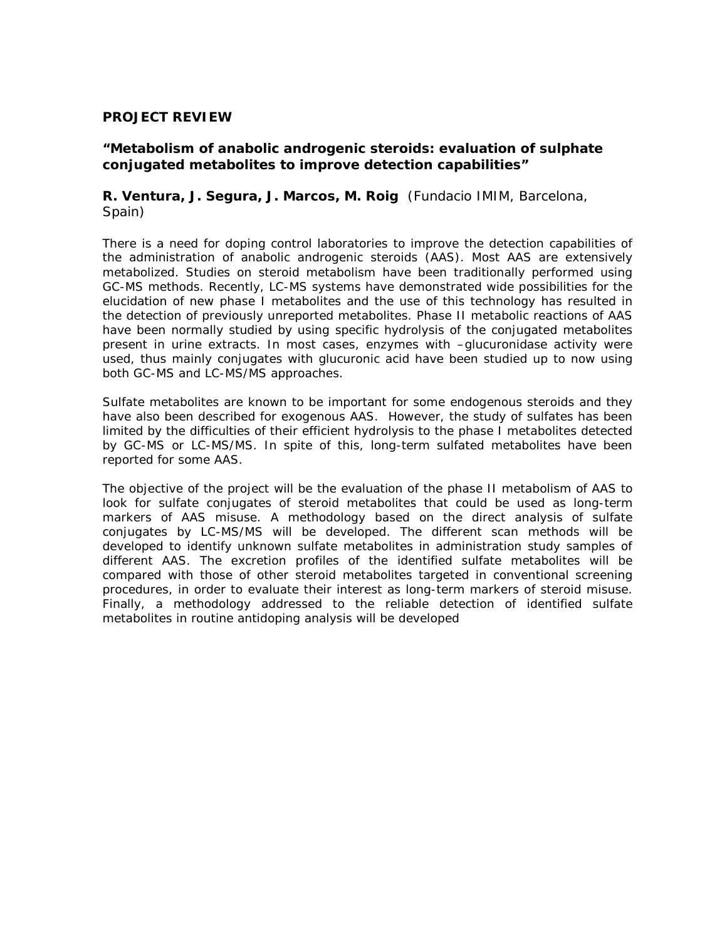#### **PROJECT REVIEW**

### **"Metabolism of anabolic androgenic steroids: evaluation of sulphate conjugated metabolites to improve detection capabilities"**

### **R. Ventura, J. Segura, J. Marcos, M. Roig** (Fundacio IMIM, Barcelona, Spain)

There is a need for doping control laboratories to improve the detection capabilities of the administration of anabolic androgenic steroids (AAS). Most AAS are extensively metabolized. Studies on steroid metabolism have been traditionally performed using GC-MS methods. Recently, LC-MS systems have demonstrated wide possibilities for the elucidation of new phase I metabolites and the use of this technology has resulted in the detection of previously unreported metabolites. Phase II metabolic reactions of AAS have been normally studied by using specific hydrolysis of the conjugated metabolites present in urine extracts. In most cases, enzymes with –glucuronidase activity were used, thus mainly conjugates with glucuronic acid have been studied up to now using both GC-MS and LC-MS/MS approaches.

Sulfate metabolites are known to be important for some endogenous steroids and they have also been described for exogenous AAS. However, the study of sulfates has been limited by the difficulties of their efficient hydrolysis to the phase I metabolites detected by GC-MS or LC-MS/MS. In spite of this, long-term sulfated metabolites have been reported for some AAS.

The objective of the project will be the evaluation of the phase II metabolism of AAS to look for sulfate conjugates of steroid metabolites that could be used as long-term markers of AAS misuse. A methodology based on the direct analysis of sulfate conjugates by LC-MS/MS will be developed. The different scan methods will be developed to identify unknown sulfate metabolites in administration study samples of different AAS. The excretion profiles of the identified sulfate metabolites will be compared with those of other steroid metabolites targeted in conventional screening procedures, in order to evaluate their interest as long-term markers of steroid misuse. Finally, a methodology addressed to the reliable detection of identified sulfate metabolites in routine antidoping analysis will be developed